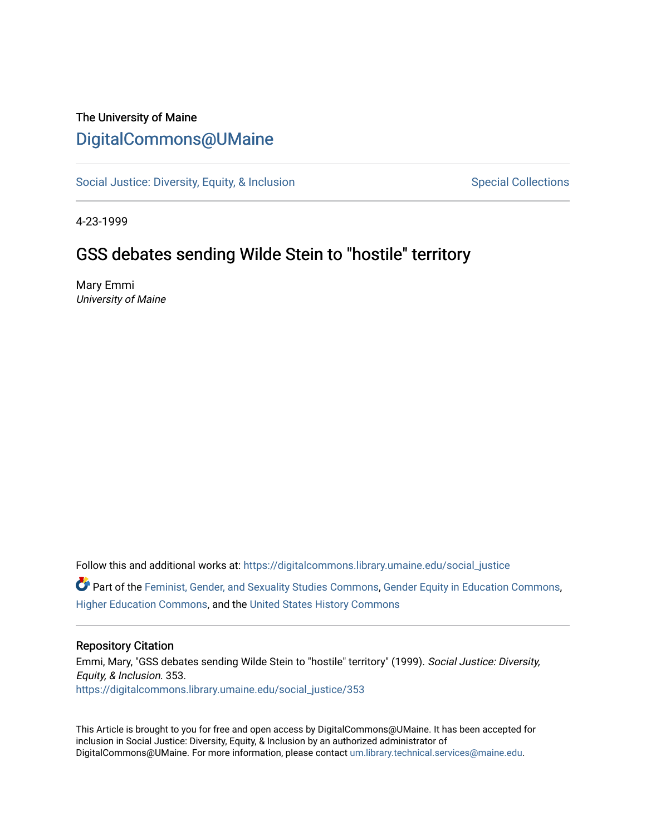## The University of Maine [DigitalCommons@UMaine](https://digitalcommons.library.umaine.edu/)

[Social Justice: Diversity, Equity, & Inclusion](https://digitalcommons.library.umaine.edu/social_justice) [Special Collections](https://digitalcommons.library.umaine.edu/specialcollections) Special Collections

4-23-1999

## GSS debates sending Wilde Stein to "hostile" territory

Mary Emmi University of Maine

Follow this and additional works at: [https://digitalcommons.library.umaine.edu/social\\_justice](https://digitalcommons.library.umaine.edu/social_justice?utm_source=digitalcommons.library.umaine.edu%2Fsocial_justice%2F353&utm_medium=PDF&utm_campaign=PDFCoverPages) 

Part of the [Feminist, Gender, and Sexuality Studies Commons](http://network.bepress.com/hgg/discipline/559?utm_source=digitalcommons.library.umaine.edu%2Fsocial_justice%2F353&utm_medium=PDF&utm_campaign=PDFCoverPages), [Gender Equity in Education Commons](http://network.bepress.com/hgg/discipline/1376?utm_source=digitalcommons.library.umaine.edu%2Fsocial_justice%2F353&utm_medium=PDF&utm_campaign=PDFCoverPages), [Higher Education Commons,](http://network.bepress.com/hgg/discipline/1245?utm_source=digitalcommons.library.umaine.edu%2Fsocial_justice%2F353&utm_medium=PDF&utm_campaign=PDFCoverPages) and the [United States History Commons](http://network.bepress.com/hgg/discipline/495?utm_source=digitalcommons.library.umaine.edu%2Fsocial_justice%2F353&utm_medium=PDF&utm_campaign=PDFCoverPages)

#### Repository Citation

Emmi, Mary, "GSS debates sending Wilde Stein to "hostile" territory" (1999). Social Justice: Diversity, Equity, & Inclusion. 353. [https://digitalcommons.library.umaine.edu/social\\_justice/353](https://digitalcommons.library.umaine.edu/social_justice/353?utm_source=digitalcommons.library.umaine.edu%2Fsocial_justice%2F353&utm_medium=PDF&utm_campaign=PDFCoverPages) 

This Article is brought to you for free and open access by DigitalCommons@UMaine. It has been accepted for inclusion in Social Justice: Diversity, Equity, & Inclusion by an authorized administrator of DigitalCommons@UMaine. For more information, please contact [um.library.technical.services@maine.edu](mailto:um.library.technical.services@maine.edu).